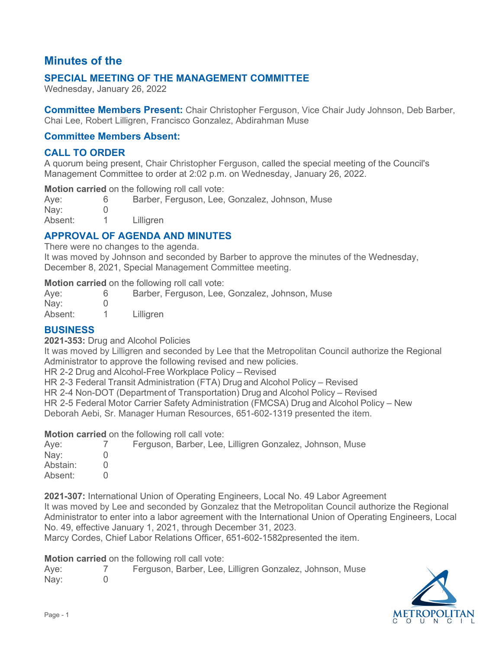# **Minutes of the**

# **SPECIAL MEETING OF THE MANAGEMENT COMMITTEE**

Wednesday, January 26, 2022

**Committee Members Present:** Chair Christopher Ferguson, Vice Chair Judy Johnson, Deb Barber, Chai Lee, Robert Lilligren, Francisco Gonzalez, Abdirahman Muse

#### **Committee Members Absent:**

#### **CALL TO ORDER**

A quorum being present, Chair Christopher Ferguson, called the special meeting of the Council's Management Committee to order at 2:02 p.m. on Wednesday, January 26, 2022.

**Motion carried** on the following roll call vote:

| Aye:          | Barber, Ferguson, Lee, Gonzalez, Johnson, Muse |
|---------------|------------------------------------------------|
| $\text{Nay:}$ |                                                |
| Absent:       | Lilliaren                                      |

## **APPROVAL OF AGENDA AND MINUTES**

There were no changes to the agenda.

It was moved by Johnson and seconded by Barber to approve the minutes of the Wednesday, December 8, 2021, Special Management Committee meeting.

**Motion carried** on the following roll call vote:

| Aye:    | Barber, Ferguson, Lee, Gonzalez, Johnson, Muse |
|---------|------------------------------------------------|
| Nay:    |                                                |
| Absent: | Lilligren                                      |

#### **BUSINESS**

**2021-353:** Drug and Alcohol Policies

It was moved by Lilligren and seconded by Lee that the Metropolitan Council authorize the Regional Administrator to approve the following revised and new policies.

HR 2-2 Drug and Alcohol-Free Workplace Policy – Revised

HR 2-3 Federal Transit Administration (FTA) Drug and Alcohol Policy – Revised

HR 2-4 Non-DOT (Department of Transportation) Drug and Alcohol Policy – Revised

HR 2-5 Federal Motor Carrier Safety Administration (FMCSA) Drug and Alcohol Policy – New

Deborah Aebi, Sr. Manager Human Resources, 651-602-1319 presented the item.

**Motion carried** on the following roll call vote:

| Aye:     | Ferguson, Barber, Lee, Lilligren Gonzalez, Johnson, Muse |
|----------|----------------------------------------------------------|
| Nay:     |                                                          |
| Abstain: |                                                          |
| Absent:  |                                                          |

**2021-307:** International Union of Operating Engineers, Local No. 49 Labor Agreement It was moved by Lee and seconded by Gonzalez that the Metropolitan Council authorize the Regional Administrator to enter into a labor agreement with the International Union of Operating Engineers, Local No. 49, effective January 1, 2021, through December 31, 2023.

Marcy Cordes, Chief Labor Relations Officer, 651-602-1582presented the item.

**Motion carried** on the following roll call vote:

Aye: 7 Ferguson, Barber, Lee, Lilligren Gonzalez, Johnson, Muse Nay: 0

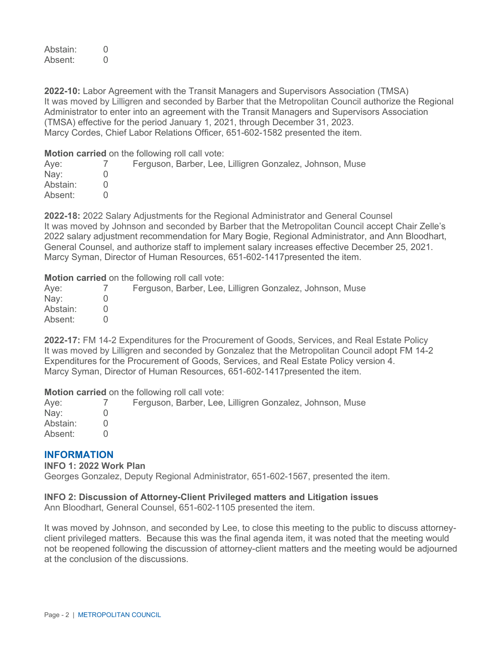Abstain: 0 Absent: 0

**2022-10:** Labor Agreement with the Transit Managers and Supervisors Association (TMSA) It was moved by Lilligren and seconded by Barber that the Metropolitan Council authorize the Regional Administrator to enter into an agreement with the Transit Managers and Supervisors Association (TMSA) effective for the period January 1, 2021, through December 31, 2023. Marcy Cordes, Chief Labor Relations Officer, 651-602-1582 presented the item.

**Motion carried** on the following roll call vote:

| Aye:     | Ferguson, Barber, Lee, Lilligren Gonzalez, Johnson, Muse |
|----------|----------------------------------------------------------|
| Nay:     |                                                          |
| Abstain: |                                                          |
| Absent:  |                                                          |

**2022-18:** 2022 Salary Adjustments for the Regional Administrator and General Counsel It was moved by Johnson and seconded by Barber that the Metropolitan Council accept Chair Zelle's 2022 salary adjustment recommendation for Mary Bogie, Regional Administrator, and Ann Bloodhart, General Counsel, and authorize staff to implement salary increases effective December 25, 2021. Marcy Syman, Director of Human Resources, 651-602-1417presented the item.

**Motion carried** on the following roll call vote:

| Aye:     | Ferguson, Barber, Lee, Lilligren Gonzalez, Johnson, Muse |
|----------|----------------------------------------------------------|
| Nay:     |                                                          |
| Abstain: |                                                          |
| Absent:  |                                                          |

**2022-17:** FM 14-2 Expenditures for the Procurement of Goods, Services, and Real Estate Policy It was moved by Lilligren and seconded by Gonzalez that the Metropolitan Council adopt FM 14-2 Expenditures for the Procurement of Goods, Services, and Real Estate Policy version 4. Marcy Syman, Director of Human Resources, 651-602-1417presented the item.

**Motion carried** on the following roll call vote:

| Aye:     | Ferguson, Barber, Lee, Lilligren Gonzalez, Johnson, Muse |
|----------|----------------------------------------------------------|
| Nay:     |                                                          |
| Abstain: |                                                          |
| Absent:  |                                                          |

#### **INFORMATION**

**INFO 1: 2022 Work Plan**

Georges Gonzalez, Deputy Regional Administrator, 651-602-1567, presented the item.

#### **INFO 2: Discussion of Attorney-Client Privileged matters and Litigation issues**

Ann Bloodhart, General Counsel, 651-602-1105 presented the item.

It was moved by Johnson, and seconded by Lee, to close this meeting to the public to discuss attorneyclient privileged matters. Because this was the final agenda item, it was noted that the meeting would not be reopened following the discussion of attorney-client matters and the meeting would be adjourned at the conclusion of the discussions.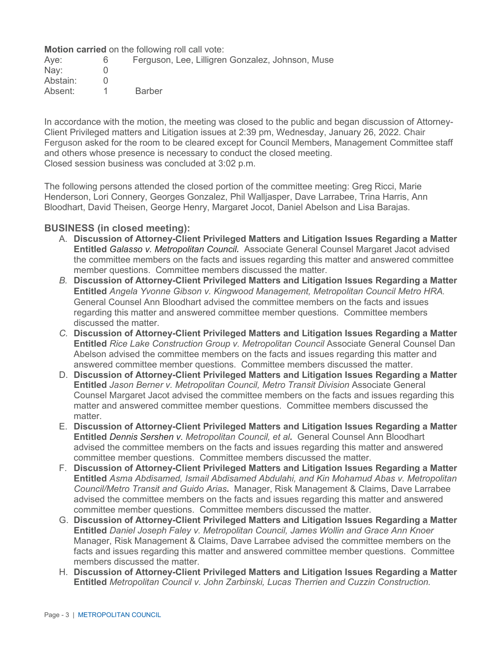**Motion carried** on the following roll call vote:

| Ferguson, Lee, Lilligren Gonzalez, Johnson, Muse |
|--------------------------------------------------|
|                                                  |
|                                                  |
| <b>Barber</b>                                    |
|                                                  |

In accordance with the motion, the meeting was closed to the public and began discussion of Attorney-Client Privileged matters and Litigation issues at 2:39 pm, Wednesday, January 26, 2022. Chair Ferguson asked for the room to be cleared except for Council Members, Management Committee staff and others whose presence is necessary to conduct the closed meeting. Closed session business was concluded at 3:02 p.m.

The following persons attended the closed portion of the committee meeting: Greg Ricci, Marie Henderson, Lori Connery, Georges Gonzalez, Phil Walljasper, Dave Larrabee, Trina Harris, Ann Bloodhart, David Theisen, George Henry, Margaret Jocot, Daniel Abelson and Lisa Barajas.

#### **BUSINESS (in closed meeting):**

- A. **Discussion of Attorney-Client Privileged Matters and Litigation Issues Regarding a Matter Entitled** *Galasso v. Metropolitan Council.*Associate General Counsel Margaret Jacot advised the committee members on the facts and issues regarding this matter and answered committee member questions. Committee members discussed the matter.
- *B.* **Discussion of Attorney-Client Privileged Matters and Litigation Issues Regarding a Matter Entitled** *Angela Yvonne Gibson v. Kingwood Management, Metropolitan Council Metro HRA.* General Counsel Ann Bloodhart advised the committee members on the facts and issues regarding this matter and answered committee member questions. Committee members discussed the matter.
- *C.* **Discussion of Attorney-Client Privileged Matters and Litigation Issues Regarding a Matter Entitled** *Rice Lake Construction Group v. Metropolitan Council* Associate General Counsel Dan Abelson advised the committee members on the facts and issues regarding this matter and answered committee member questions. Committee members discussed the matter.
- D. **Discussion of Attorney-Client Privileged Matters and Litigation Issues Regarding a Matter Entitled** *Jason Berner v. Metropolitan Council, Metro Transit Division* Associate General Counsel Margaret Jacot advised the committee members on the facts and issues regarding this matter and answered committee member questions. Committee members discussed the matter.
- E. **Discussion of Attorney-Client Privileged Matters and Litigation Issues Regarding a Matter Entitled** *Dennis Sershen v. Metropolitan Council, et al.*General Counsel Ann Bloodhart advised the committee members on the facts and issues regarding this matter and answered committee member questions. Committee members discussed the matter.
- F. **Discussion of Attorney-Client Privileged Matters and Litigation Issues Regarding a Matter Entitled** *Asma Abdisamed, Ismail Abdisamed Abdulahi, and Kin Mohamud Abas v. Metropolitan Council/Metro Transit and Guido Arias.*Manager, Risk Management & Claims, Dave Larrabee advised the committee members on the facts and issues regarding this matter and answered committee member questions. Committee members discussed the matter.
- G. **Discussion of Attorney-Client Privileged Matters and Litigation Issues Regarding a Matter Entitled** *Daniel Joseph Faley v. Metropolitan Council, James Wollin and Grace Ann Knoer* Manager, Risk Management & Claims, Dave Larrabee advised the committee members on the facts and issues regarding this matter and answered committee member questions. Committee members discussed the matter.
- H. **Discussion of Attorney-Client Privileged Matters and Litigation Issues Regarding a Matter Entitled** *Metropolitan Council v. John Zarbinski, Lucas Therrien and Cuzzin Construction.*